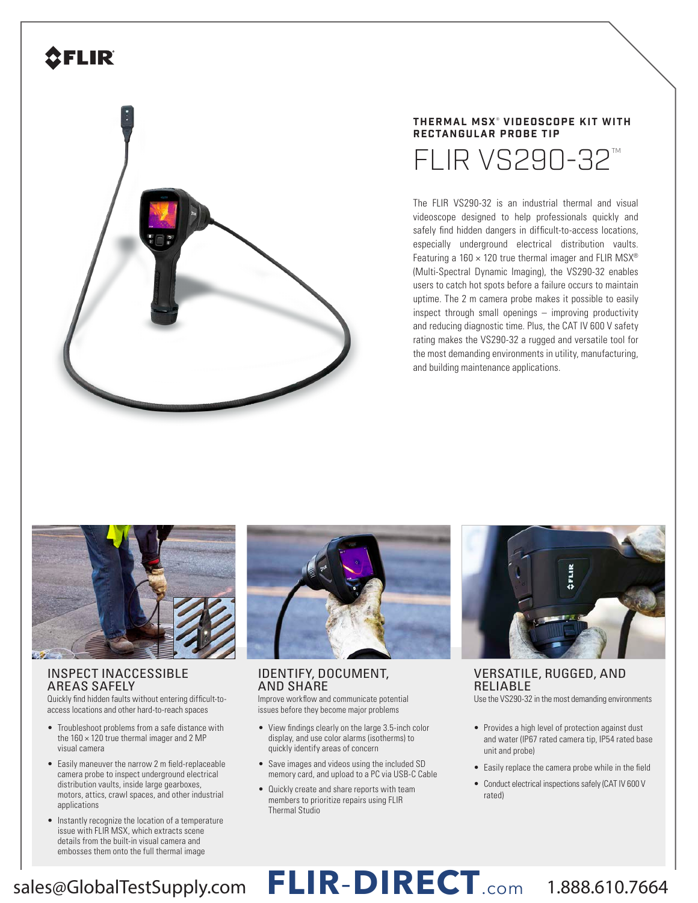## **SFLIR**



#### **THERMAL MSX** ®  **VIDEOSCOPE KIT WITH RECTANGULAR PROBE TIP**

 $FLIR$  VS290-32<sup>M</sup>

The FLIR VS290-32 is an industrial thermal and visual videoscope designed to help professionals quickly and safely find hidden dangers in difficult-to-access locations, especially underground electrical distribution vaults. Featuring a  $160 \times 120$  true thermal imager and FLIR MSX<sup>®</sup> (Multi-Spectral Dynamic Imaging), the VS290-32 enables users to catch hot spots before a failure occurs to maintain uptime. The 2 m camera probe makes it possible to easily inspect through small openings – improving productivity and reducing diagnostic time. Plus, the CAT IV 600 V safety rating makes the VS290-32 a rugged and versatile tool for the most demanding environments in utility, manufacturing, and building maintenance applications.



## INSPECT INACCESSIBLE AREAS SAFELY

Quickly find hidden faults without entering difficult-toaccess locations and other hard-to-reach spaces

- Troubleshoot problems from a safe distance with the  $160 \times 120$  true thermal imager and 2 MP visual camera
- Easily maneuver the narrow 2 m field-replaceable camera probe to inspect underground electrical distribution vaults, inside large gearboxes, motors, attics, crawl spaces, and other industrial applications
- Instantly recognize the location of a temperature issue with FLIR MSX, which extracts scene details from the built-in visual camera and embosses them onto the full thermal image



### IDENTIFY, DOCUMENT, AND SHARE

Improve workflow and communicate potential issues before they become major problems

- View findings clearly on the large 3.5-inch color display, and use color alarms (isotherms) to quickly identify areas of concern
- Save images and videos using the included SD memory card, and upload to a PC via USB-C Cable
- Quickly create and share reports with team members to prioritize repairs using FLIR Thermal Studio



VERSATILE, RUGGED, AND RELIABLE

Use the VS290-32 in the most demanding environments

- Provides a high level of protection against dust and water (IP67 rated camera tip, IP54 rated base unit and probe)
- Easily replace the camera probe while in the field
- Conduct electrical inspections safely (CAT IV 600 V rated)

## sales@GlobalTestSupply.com **FLIR**-**DIRECT**.com 1.888.610.7664